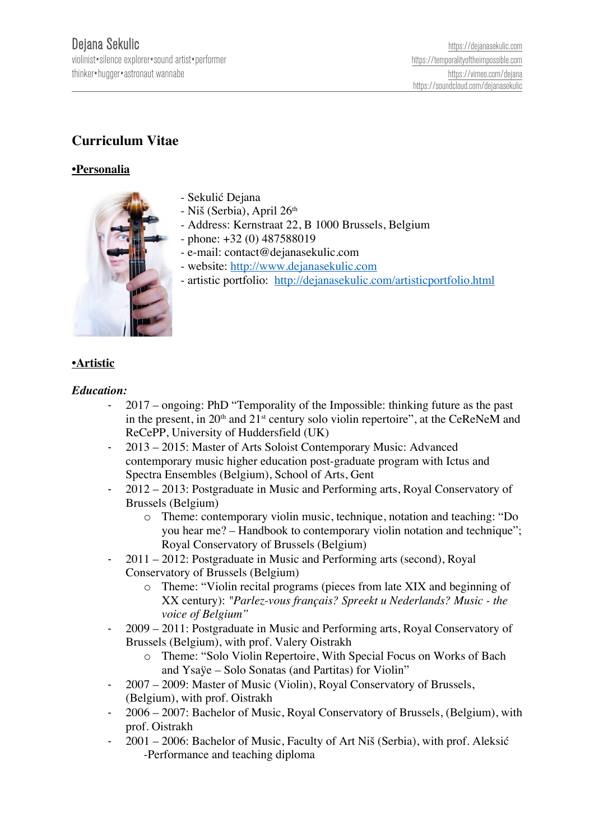# **Curriculum Vitae**

# **•Personalia**



- Sekulić Dejana
- Niš (Serbia), April 26<sup>th</sup>
- Address: Kernstraat 22, B 1000 Brussels, Belgium
- phone: +32 (0) 487588019
- e-mail: contact@dejanasekulic.com
- website: http://www.dejanasekulic.com
- artistic portfolio: http://dejanasekulic.com/artisticportfolio.html

#### **•Artistic**

#### *Education:*

- 2017 ongoing: PhD "Temporality of the Impossible: thinking future as the past in the present, in  $20<sup>th</sup>$  and  $21<sup>st</sup>$  century solo violin repertoire", at the CeReNeM and ReCePP, University of Huddersfield (UK)
- 2013 2015: Master of Arts Soloist Contemporary Music: Advanced contemporary music higher education post-graduate program with Ictus and Spectra Ensembles (Belgium), School of Arts, Gent
- 2012 2013: Postgraduate in Music and Performing arts, Royal Conservatory of Brussels (Belgium)
	- o Theme: contemporary violin music, technique, notation and teaching: "Do you hear me? – Handbook to contemporary violin notation and technique"; Royal Conservatory of Brussels (Belgium)
- 2011 2012: Postgraduate in Music and Performing arts (second), Royal Conservatory of Brussels (Belgium)
	- o Theme: "Violin recital programs (pieces from late XIX and beginning of XX century): *"Parlez-vous français? Spreekt u Nederlands? Music - the voice of Belgium"*
- 2009 2011: Postgraduate in Music and Performing arts, Royal Conservatory of Brussels (Belgium), with prof. Valery Oistrakh
	- o Theme: "Solo Violin Repertoire, With Special Focus on Works of Bach and Ysaÿe – Solo Sonatas (and Partitas) for Violin"
- 2007 2009: Master of Music (Violin), Royal Conservatory of Brussels, (Belgium), with prof. Oistrakh
- 2006 2007: Bachelor of Music, Royal Conservatory of Brussels, (Belgium), with prof. Oistrakh
- 2001 2006: Bachelor of Music, Faculty of Art Niš (Serbia), with prof. Aleksić -Performance and teaching diploma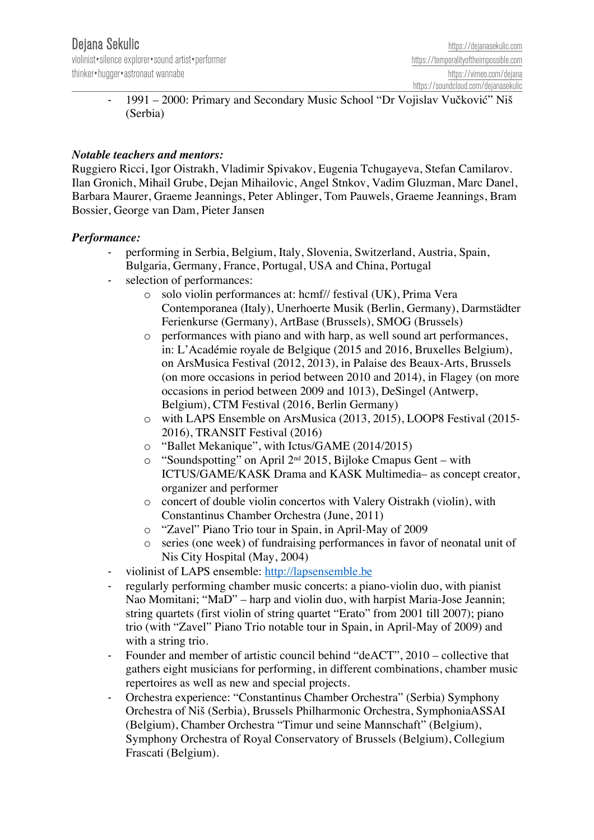- 1991 – 2000: Primary and Secondary Music School "Dr Vojislav Vučković" Niš (Serbia)

## *Notable teachers and mentors:*

Ruggiero Ricci, Igor Oistrakh, Vladimir Spivakov, Eugenia Tchugayeva, Stefan Camilarov. Ilan Gronich, Mihail Grube, Dejan Mihailovic, Angel Stnkov, Vadim Gluzman, Marc Danel, Barbara Maurer, Graeme Jeannings, Peter Ablinger, Tom Pauwels, Graeme Jeannings, Bram Bossier, George van Dam, Pieter Jansen

#### *Performance:*

- performing in Serbia, Belgium, Italy, Slovenia, Switzerland, Austria, Spain, Bulgaria, Germany, France, Portugal, USA and China, Portugal
- selection of performances:
	- o solo violin performances at: hcmf// festival (UK), Prima Vera Contemporanea (Italy), Unerhoerte Musik (Berlin, Germany), Darmstädter Ferienkurse (Germany), ArtBase (Brussels), SMOG (Brussels)
	- o performances with piano and with harp, as well sound art performances, in: L'Académie royale de Belgique (2015 and 2016, Bruxelles Belgium), on ArsMusica Festival (2012, 2013), in Palaise des Beaux-Arts, Brussels (on more occasions in period between 2010 and 2014), in Flagey (on more occasions in period between 2009 and 1013), DeSingel (Antwerp, Belgium), CTM Festival (2016, Berlin Germany)
	- o with LAPS Ensemble on ArsMusica (2013, 2015), LOOP8 Festival (2015- 2016), TRANSIT Festival (2016)
	- o "Ballet Mekanique", with Ictus/GAME (2014/2015)
	- $\circ$  "Soundspotting" on April 2<sup>nd</sup> 2015, Bijloke Cmapus Gent with ICTUS/GAME/KASK Drama and KASK Multimedia– as concept creator, organizer and performer
	- o concert of double violin concertos with Valery Oistrakh (violin), with Constantinus Chamber Orchestra (June, 2011)
	- o "Zavel" Piano Trio tour in Spain, in April-May of 2009
	- o series (one week) of fundraising performances in favor of neonatal unit of Nis City Hospital (May, 2004)
- violinist of LAPS ensemble: http://lapsensemble.be
- regularly performing chamber music concerts: a piano-violin duo, with pianist Nao Momitani; "MaD" – harp and violin duo, with harpist Maria-Jose Jeannin; string quartets (first violin of string quartet "Erato" from 2001 till 2007); piano trio (with "Zavel" Piano Trio notable tour in Spain, in April-May of 2009) and with a string trio.
- Founder and member of artistic council behind "deACT", 2010 collective that gathers eight musicians for performing, in different combinations, chamber music repertoires as well as new and special projects.
- Orchestra experience: "Constantinus Chamber Orchestra" (Serbia) Symphony Orchestra of Niš (Serbia), Brussels Philharmonic Orchestra, SymphoniaASSAI (Belgium), Chamber Orchestra "Timur und seine Mannschaft" (Belgium), Symphony Orchestra of Royal Conservatory of Brussels (Belgium), Collegium Frascati (Belgium).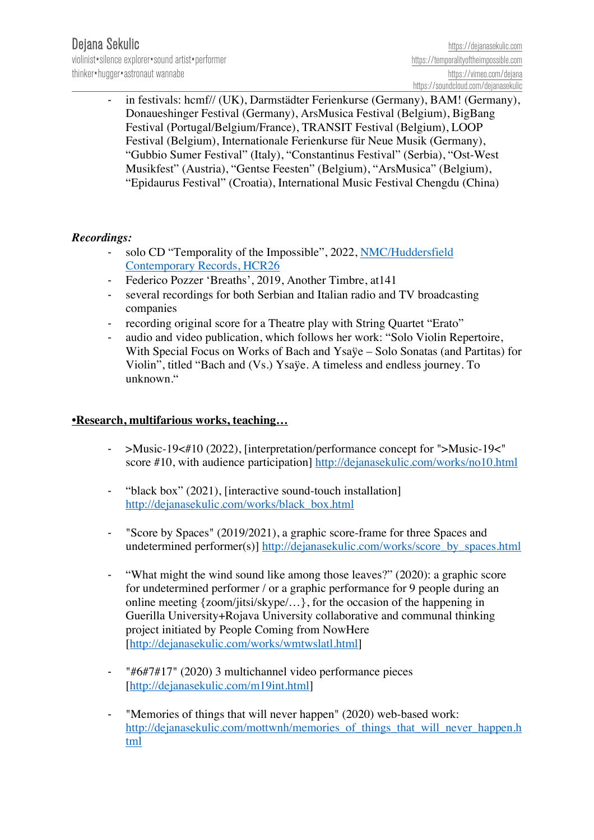in festivals: hcmf// (UK), Darmstädter Ferienkurse (Germany), BAM! (Germany), Donaueshinger Festival (Germany), ArsMusica Festival (Belgium), BigBang Festival (Portugal/Belgium/France), TRANSIT Festival (Belgium), LOOP Festival (Belgium), Internationale Ferienkurse für Neue Musik (Germany), "Gubbio Sumer Festival" (Italy), "Constantinus Festival" (Serbia), "Ost-West Musikfest" (Austria), "Gentse Feesten" (Belgium), "ArsMusica" (Belgium), "Epidaurus Festival" (Croatia), International Music Festival Chengdu (China)

## *Recordings:*

- solo CD "Temporality of the Impossible", 2022, NMC/Huddersfield Contemporary Records, HCR26
- Federico Pozzer 'Breaths', 2019, Another Timbre, at 141
- several recordings for both Serbian and Italian radio and TV broadcasting companies
- recording original score for a Theatre play with String Quartet "Erato"
- audio and video publication, which follows her work: "Solo Violin Repertoire, With Special Focus on Works of Bach and Ysaÿe – Solo Sonatas (and Partitas) for Violin", titled "Bach and (Vs.) Ysaÿe. A timeless and endless journey. To unknown."

## **•Research, multifarious works, teaching…**

- >Music-19<#10 (2022), [interpretation/performance concept for ">Music-19<" score #10, with audience participation] http://dejanasekulic.com/works/no10.html
- "black box" (2021), [interactive sound-touch installation] http://dejanasekulic.com/works/black\_box.html
- "Score by Spaces" (2019/2021), a graphic score-frame for three Spaces and undetermined performer(s)] http://dejanasekulic.com/works/score\_by\_spaces.html
- "What might the wind sound like among those leaves?" (2020): a graphic score for undetermined performer / or a graphic performance for 9 people during an online meeting {zoom/jitsi/skype/…}, for the occasion of the happening in Guerilla University+Rojava University collaborative and communal thinking project initiated by People Coming from NowHere [http://dejanasekulic.com/works/wmtwslatl.html]
- "#6#7#17" (2020) 3 multichannel video performance pieces [http://dejanasekulic.com/m19int.html]
- "Memories of things that will never happen" (2020) web-based work: http://dejanasekulic.com/mottwnh/memories of things that will never happen.h tml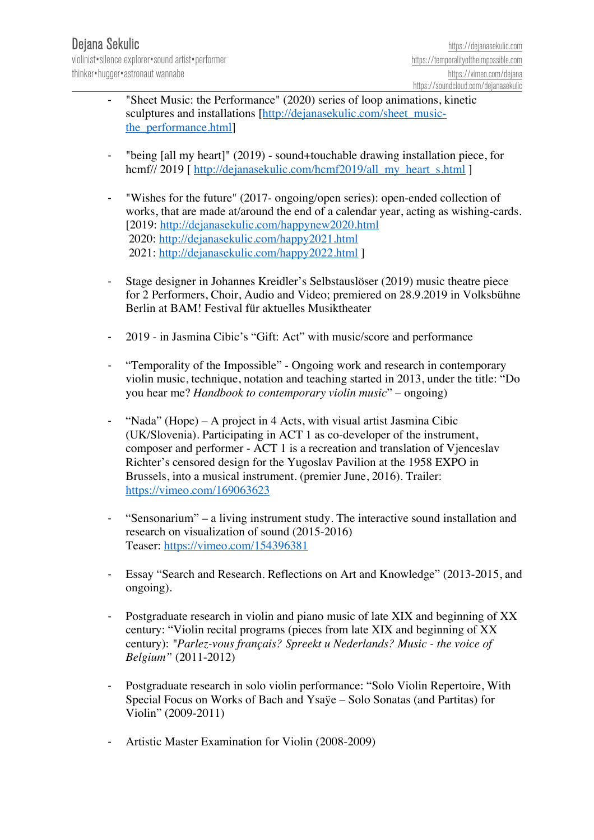- "Sheet Music: the Performance" (2020) series of loop animations, kinetic sculptures and installations [http://dejanasekulic.com/sheet\_musicthe\_performance.html]
- "being  $\lceil$  all my heart]" (2019) sound+touchable drawing installation piece, for hcmf// 2019 [ http://dejanasekulic.com/hcmf2019/all\_my\_heart\_s.html ]
- "Wishes for the future" (2017- ongoing/open series): open-ended collection of works, that are made at/around the end of a calendar year, acting as wishing-cards. [2019: http://dejanasekulic.com/happynew2020.html 2020: http://dejanasekulic.com/happy2021.html 2021: http://dejanasekulic.com/happy2022.html ]
- Stage designer in Johannes Kreidler's Selbstauslöser (2019) music theatre piece for 2 Performers, Choir, Audio and Video; premiered on 28.9.2019 in Volksbühne Berlin at BAM! Festival für aktuelles Musiktheater
- 2019 in Jasmina Cibic's "Gift: Act" with music/score and performance
- "Temporality of the Impossible" Ongoing work and research in contemporary violin music, technique, notation and teaching started in 2013, under the title: "Do you hear me? *Handbook to contemporary violin music*" – ongoing)
- "Nada" (Hope) A project in 4 Acts, with visual artist Jasmina Cibic (UK/Slovenia). Participating in ACT 1 as co-developer of the instrument, composer and performer - ACT 1 is a recreation and translation of Vjenceslav Richter's censored design for the Yugoslav Pavilion at the 1958 EXPO in Brussels, into a musical instrument. (premier June, 2016). Trailer: https://vimeo.com/169063623
- "Sensonarium" a living instrument study. The interactive sound installation and research on visualization of sound (2015-2016) Teaser: https://vimeo.com/154396381
- Essay "Search and Research. Reflections on Art and Knowledge" (2013-2015, and ongoing).
- Postgraduate research in violin and piano music of late XIX and beginning of XX century: "Violin recital programs (pieces from late XIX and beginning of XX century): *"Parlez-vous français? Spreekt u Nederlands? Music - the voice of Belgium"* (2011-2012)
- Postgraduate research in solo violin performance: "Solo Violin Repertoire, With Special Focus on Works of Bach and Ysaÿe – Solo Sonatas (and Partitas) for Violin" (2009-2011)
- Artistic Master Examination for Violin (2008-2009)